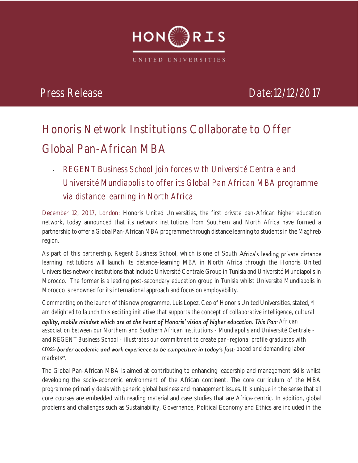

*12/12/2017*

# **Honoris Network Institutions Collaborate to Offer Global Pan-African MBA**

**-** *REGENT Business School join forces with Université Centrale and Université Mundiapolis to offer its Global Pan African MBA programme via distance learning in North Africa*

**December 12, 2017, London:** Honoris United Universities, the first private pan-African higher education network, today announced that its network institutions from Southern and North Africa have formed a partnership to offer a Global Pan-African MBA programme through distance learning to students in the Maghreb region.

As part of this partnership, Regent Business School, which is one of South Africa's leading private distance learning institutions will launch its distance-learning MBA in North Africa through the Honoris United Universities network institutions that include Université Centrale Group in Tunisia and Université Mundiapolis in Morocco. The former is a leading post-secondary education group in Tunisia whilst Université Mundiapolis in Morocco is renowned for its international approach and focus on employability.

Commenting on the launch of this new programme, Luis Lopez, Ceo of Honoris United Universities, stated, "I am delighted to launch this exciting initiative that supports the concept of collaborative intelligence, cultural agility, mobile mindset which are at the heart of Honoris' vision of higher education. This Pan-African *association between our Northern and Southern African institutions - Mundiapolis and Université Centrale and REGENT Business School - illustrates our commitment to create pan-regional profile graduates with*  cross-border academic and work experience to be competitive in today's fast-paced and demanding labor markets".

The Global Pan-African MBA is aimed at contributing to enhancing leadership and management skills whilst developing the socio-economic environment of the African continent. The core curriculum of the MBA programme primarily deals with generic global business and management issues. It is unique in the sense that all core courses are embedded with reading material and case studies that are Africa-centric. In addition, global problems and challenges such as Sustainability, Governance, Political Economy and Ethics are included in the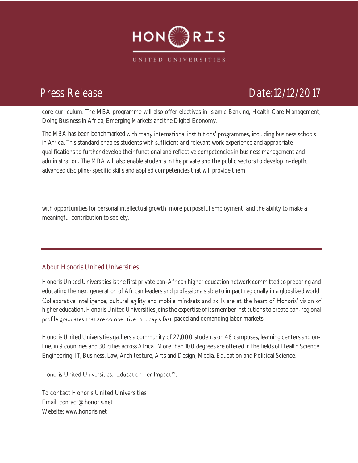

*12/12/2017* core curriculum. The MBA programme will also offer electives in Islamic Banking, Health Care Management, Doing Business in Africa, Emerging Markets and the Digital Economy.

Doing Business in Arrica, Emerging ivial Kets and the Digital Economy.<br>The MBA has been benchmarked with many international institutions' programmes, including bu in Africa. This standard enables students with sufficient and relevant work experience and appropriate qualifications to further develop their functional and reflective competencies in business management and administration. The MBA will also enable students in the private and the public sectors to develop in-depth, advanced discipline-specific skills and applied competencies that will provide them

with opportunities for personal intellectual growth, more purposeful employment, and the ability to make a meaningful contribution to society.

## **About Honoris United Universities**

Honoris United Universities is the first private pan-African higher education network committed to preparing and educating the next generation of African leaders and professionals able to impact regionally in a globalized world. Collaborative intelligence, cultural agility and mobile mindsets and skills are at the heart of Honoris' vision of higher education. Honoris United Universities joins the expertise of its member institutions to create pan-regional profile graduates that are competitive in today's fast-paced and demanding labor markets.

Honoris United Universities gathers a community of 27,000 students on 48 campuses, learning centers and online, in 9 countries and 30 cities across Africa. More than 100 degrees are offered in the fields of Health Science, Engineering, IT, Business, Law, Architecture, Arts and Design, Media, Education and Political Science.

Honoris United Universities. Education For Impact™.

To contact Honoris United Universities Email[: contact@honoris.net](mailto:contact@honoris.net) Website[: www.honoris.net](http://www.honoris.net/)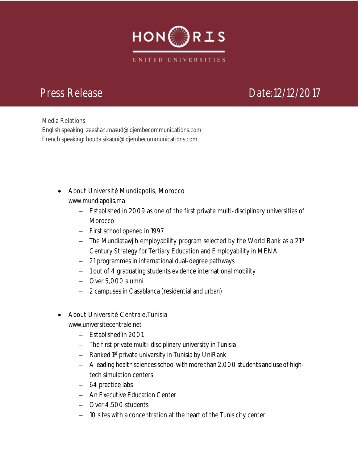

*12/12/2017*

Media Relations<br>English speaking: zeeshan.masud@djembecommunications.com French speaking: houda.sikaoui@djembecommunications.com

- About Université Mundiapolis, Morocco [www.mundiapolis.ma](http://www.mundiapolis.ma/)
	- Established in 2009 as one of the first private multi-disciplinary universities of **Morocco**
	- First school opened in 1997
	- $-$  The Mundiatawjih employability program selected by the World Bank as a 21st Century Strategy for Tertiary Education and Employability in MENA
	- 21 programmes in international dual-degree pathways
	- 1 out of 4 graduating students evidence international mobility
	- Over 5,000 alumni
	- 2 campuses in Casablanca (residential and urban)
- About Université Centrale,Tunisia
	- [www.universitecentrale.net](http://www.universitecentrale.net/)
		- Established in 2001
		- The first private multi-disciplinary university in Tunisia
		- Ranked 1<sup>st</sup> private university in Tunisia by UniRank
		- A leading health sciences school with more than 2,000 students and use of hightech simulation centers
		- 64 practice labs
		- An Executive Education Center
		- Over 4,500 students
		- 10 sites with a concentration at the heart of the Tunis city center